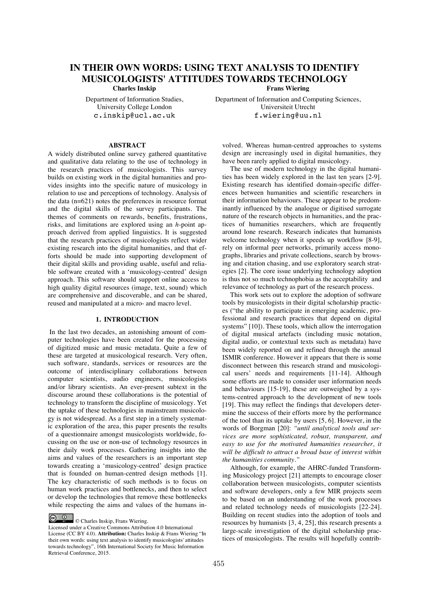# **IN THEIR OWN WORDS: USING TEXT ANALYSIS TO IDENTIFY MUSICOLOGISTS' ATTITUDES TOWARDS TECHNOLOGY Charles Inskip** Frans Wiering

Department of Information Studies, University College London c.inskip@ucl.ac.uk

Department of Information and Computing Sciences, Universiteit Utrecht f.wiering@uu.nl

# **ABSTRACT**

A widely distributed online survey gathered quantitative and qualitative data relating to the use of technology in the research practices of musicologists. This survey builds on existing work in the digital humanities and provides insights into the specific nature of musicology in relation to use and perceptions of technology. Analysis of the data (n=621) notes the preferences in resource format and the digital skills of the survey participants. The themes of comments on rewards, benefits, frustrations, risks, and limitations are explored using an *h*-point approach derived from applied linguistics. It is suggested that the research practices of musicologists reflect wider existing research into the digital humanities, and that efforts should be made into supporting development of their digital skills and providing usable, useful and reliable software created with a 'musicology-centred' design approach. This software should support online access to high quality digital resources (image, text, sound) which are comprehensive and discoverable, and can be shared, reused and manipulated at a micro- and macro level.

# **1. INTRODUCTION**

 In the last two decades, an astonishing amount of computer technologies have been created for the processing of digitized music and music metadata. Quite a few of these are targeted at musicological research. Very often, such software, standards, services or resources are the outcome of interdisciplinary collaborations between computer scientists, audio engineers, musicologists and/or library scientists. An ever-present subtext in the discourse around these collaborations is the potential of technology to transform the discipline of musicology. Yet the uptake of these technologies in mainstream musicology is not widespread. As a first step in a timely systematic exploration of the area, this paper presents the results of a questionnaire amongst musicologists worldwide, focussing on the use or non-use of technology resources in their daily work processes. Gathering insights into the aims and values of the researchers is an important step towards creating a 'musicology-centred' design practice that is founded on human-centred design methods [1]. The key characteristic of such methods is to focus on human work practices and bottlenecks, and then to select or develop the technologies that remove these bottlenecks while respecting the aims and values of the humans in-

© Charles Inskip, Frans Wiering.

volved. Whereas human-centred approaches to systems design are increasingly used in digital humanities, they have been rarely applied to digital musicology.

The use of modern technology in the digital humanities has been widely explored in the last ten years [2-9]. Existing research has identified domain-specific differences between humanities and scientific researchers in their information behaviours. These appear to be predominantly influenced by the analogue or digitised surrogate nature of the research objects in humanities, and the practices of humanities researchers, which are frequently around lone research. Research indicates that humanists welcome technology when it speeds up workflow [8-9], rely on informal peer networks, primarily access monographs, libraries and private collections, search by browsing and citation chasing, and use exploratory search strategies [2]. The core issue underlying technology adoption is thus not so much technophobia as the acceptability and relevance of technology as part of the research process.

This work sets out to explore the adoption of software tools by musicologists in their digital scholarship practices ("the ability to participate in emerging academic, professional and research practices that depend on digital systems" [10]). These tools, which allow the interrogation of digital musical artefacts (including music notation, digital audio, or contextual texts such as metadata) have been widely reported on and refined through the annual ISMIR conference. However it appears that there is some disconnect between this research strand and musicological users' needs and requirements [11-14]. Although some efforts are made to consider user information needs and behaviours [15-19], these are outweighed by a systems-centred approach to the development of new tools [19]. This may reflect the findings that developers determine the success of their efforts more by the performance of the tool than its uptake by users [5, 6]. However, in the words of Borgman [20]: *"until analytical tools and services are more sophisticated, robust, transparent, and easy to use for the motivated humanities researcher, it will be difficult to attract a broad base of interest within the humanities community."*

Although, for example, the AHRC-funded Transforming Musicology project [21] attempts to encourage closer collaboration between musicologists, computer scientists and software developers, only a few MIR projects seem to be based on an understanding of the work processes and related technology needs of musicologists [22-24]. Building on recent studies into the adoption of tools and resources by humanists [3, 4, 25], this research presents a large-scale investigation of the digital scholarship practices of musicologists. The results will hopefully contrib-

Licensed under a Creative Commons Attribution 4.0 International License (CC BY 4.0). **Attribution:** Charles Inskip & Frans Wiering "In their own words: using text analysis to identify musicologists' attitudes towards technology", 16th International Society for Music Information Retrieval Conference, 2015.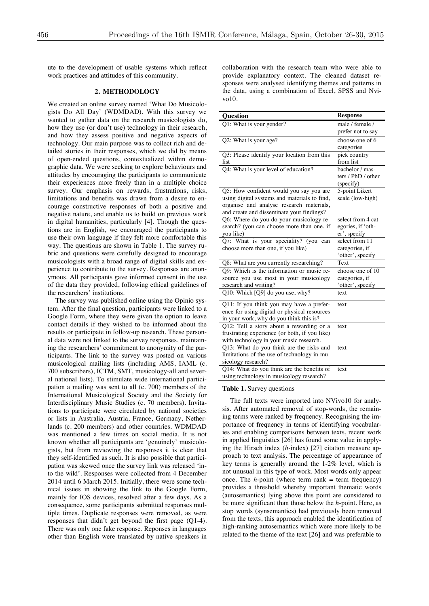ute to the development of usable systems which reflect work practices and attitudes of this community.

# **2. METHODOLOGY**

We created an online survey named 'What Do Musicologists Do All Day' (WDMDAD). With this survey we wanted to gather data on the research musicologists do, how they use (or don't use) technology in their research, and how they assess positive and negative aspects of technology. Our main purpose was to collect rich and detailed stories in their responses, which we did by means of open-ended questions, contextualized within demographic data. We were seeking to explore behaviours and attitudes by encouraging the participants to communicate their experiences more freely than in a multiple choice survey. Our emphasis on rewards, frustrations, risks, limitations and benefits was drawn from a desire to encourage constructive responses of both a positive and negative nature, and enable us to build on previous work in digital humanities, particularly [4]. Though the questions are in English, we encouraged the participants to use their own language if they felt more comfortable this way. The questions are shown in Table 1. The survey rubric and questions were carefully designed to encourage musicologists with a broad range of digital skills and experience to contribute to the survey. Responses are anonymous. All participants gave informed consent in the use of the data they provided, following ethical guidelines of the researchers' institutions.

The survey was published online using the Opinio system. After the final question, participants were linked to a Google Form, where they were given the option to leave contact details if they wished to be informed about the results or participate in follow-up research. These personal data were not linked to the survey responses, maintaining the researchers' commitment to anonymity of the participants. The link to the survey was posted on various musicological mailing lists (including AMS, IAML (c. 700 subscribers), ICTM, SMT, musicology-all and several national lists). To stimulate wide international participation a mailing was sent to all (c. 700) members of the International Musicological Society and the Society for Interdisciplinary Music Studies (c. 70 members). Invitations to participate were circulated by national societies or lists in Australia, Austria, France, Germany, Netherlands (c. 200 members) and other countries. WDMDAD was mentioned a few times on social media. It is not known whether all participants are 'genuinely' musicologists, but from reviewing the responses it is clear that they self-identified as such. It is also possible that participation was skewed once the survey link was released 'into the wild'. Responses were collected from 4 December 2014 until 6 March 2015. Initially, there were some technical issues in showing the link to the Google Form, mainly for IOS devices, resolved after a few days. As a consequence, some participants submitted responses multiple times. Duplicate responses were removed, as were responses that didn't get beyond the first page (Q1-4). There was only one fake response. Reponses in languages other than English were translated by native speakers in collaboration with the research team who were able to provide explanatory context. The cleaned dataset responses were analysed identifying themes and patterns in the data, using a combination of Excel, SPSS and Nvivo10.

| <b>Question</b>                               | <b>Response</b>                       |
|-----------------------------------------------|---------------------------------------|
| Q1: What is your gender?                      | male / female /                       |
|                                               | prefer not to say                     |
| Q2: What is your age?                         | choose one of 6                       |
|                                               | categories                            |
| Q3: Please identify your location from this   | pick country                          |
| list                                          | from list                             |
| Q4: What is your level of education?          | bachelor / mas-<br>ters / PhD / other |
|                                               | (specify)                             |
| Q5: How confident would you say you are       | 5-point Likert                        |
| using digital systems and materials to find,  | scale (low-high)                      |
| organise and analyse research materials,      |                                       |
| and create and disseminate your findings?     |                                       |
| Q6: Where do you do your musicology re-       | select from 4 cat-                    |
| search? (you can choose more than one, if     | egories, if 'oth-                     |
| you like)                                     | er', specify                          |
| Q7: What is your speciality? (you can         | select from 11                        |
| choose more than one, if you like)            | categories, if                        |
|                                               | 'other', specify                      |
| Q8: What are you currently researching?       | Text                                  |
| Q9: Which is the information or music re-     | choose one of 10                      |
| source you use most in your musicology        | categories, if                        |
| research and writing?                         | 'other', specify                      |
| Q10: Which [Q9] do you use, why?              | text                                  |
| Q11: If you think you may have a prefer-      | text                                  |
| ence for using digital or physical resources  |                                       |
| in your work, why do you think this is?       |                                       |
| Q12: Tell a story about a rewarding or a      | text                                  |
| frustrating experience (or both, if you like) |                                       |
| with technology in your music research.       |                                       |
| Q13: What do you think are the risks and      | text                                  |
| limitations of the use of technology in mu-   |                                       |
| sicology research?                            |                                       |
| Q14: What do you think are the benefits of    | text                                  |
| using technology in musicology research?      |                                       |

### **Table 1.** Survey questions

The full texts were imported into NVivo10 for analysis. After automated removal of stop-words, the remaining terms were ranked by frequency. Recognising the importance of frequency in terms of identifying vocabularies and enabling comparisons between texts, recent work in applied linguistics [26] has found some value in applying the Hirsch index (*h-*index) [27] citation measure approach to text analysis. The percentage of appearance of key terms is generally around the 1-2% level, which is not unusual in this type of work. Most words only appear once. The  $h$ -point (where term rank  $=$  term frequency) provides a threshold whereby important thematic words (autosemantics) lying above this point are considered to be more significant than those below the *h-*point. Here, as stop words (synsemantics) had previously been removed from the texts, this approach enabled the identification of high-ranking autosemantics which were more likely to be related to the theme of the text [26] and was preferable to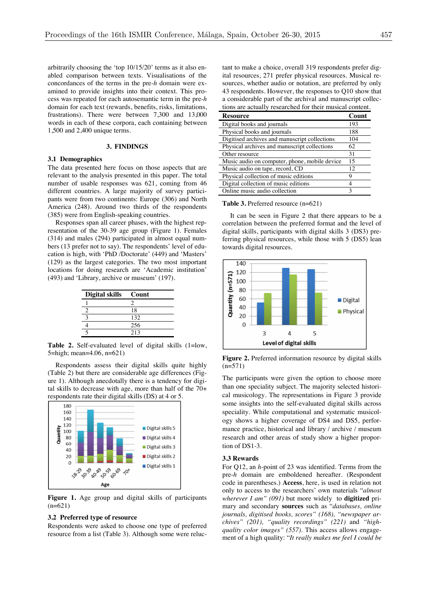arbitrarily choosing the 'top 10/15/20' terms as it also enabled comparison between texts. Visualisations of the concordances of the terms in the pre-*h* domain were examined to provide insights into their context. This process was repeated for each autosemantic term in the pre-*h* domain for each text (rewards, benefits, risks, limitations, frustrations). There were between 7,300 and 13,000 words in each of these corpora, each containing between 1,500 and 2,400 unique terms.

## **3. FINDINGS**

### **3.1 Demographics**

The data presented here focus on those aspects that are relevant to the analysis presented in this paper. The total number of usable responses was 621, coming from 46 different countries. A large majority of survey participants were from two continents: Europe (306) and North America (248). Around two thirds of the respondents (385) were from English-speaking countries.

Responses span all career phases, with the highest representation of the 30-39 age group (Figure 1). Females (314) and males (294) participated in almost equal numbers (13 prefer not to say). The respondents' level of education is high, with 'PhD /Doctorate' (449) and 'Masters' (129) as the largest categories. The two most important locations for doing research are 'Academic institution' (493) and 'Library, archive or museum' (197).

| <b>Digital skills</b> | Count |
|-----------------------|-------|
|                       |       |
|                       | 18    |
|                       | 132   |
|                       | 256   |
|                       | 213   |

Table 2. Self-evaluated level of digital skills (1=low, 5=high; mean=4.06, n=621)

Respondents assess their digital skills quite highly (Table 2) but there are considerable age differences (Figure 1). Although anecdotally there is a tendency for digital skills to decrease with age, more than half of the 70+ respondents rate their digital skills (DS) at 4 or 5.



**Figure 1.** Age group and digital skills of participants  $(n=621)$ 

#### **3.2 Preferred type of resource**

Respondents were asked to choose one type of preferred resource from a list (Table 3). Although some were reluctant to make a choice, overall 319 respondents prefer digital resources, 271 prefer physical resources. Musical resources, whether audio or notation, are preferred by only 43 respondents. However, the responses to Q10 show that a considerable part of the archival and manuscript collections are actually researched for their musical content.

| <b>Resource</b>                               | Count |
|-----------------------------------------------|-------|
| Digital books and journals                    | 193   |
| Physical books and journals                   | 188   |
| Digitised archives and manuscript collections | 104   |
| Physical archives and manuscript collections  | 62    |
| Other resource                                | 31    |
| Music audio on computer, phone, mobile device | 15    |
| Music audio on tape, record, CD               | 12    |
| Physical collection of music editions         | 9     |
| Digital collection of music editions          |       |
| Online music audio collection                 | 3     |

**Table 3.** Preferred resource (n=621)

It can be seen in Figure 2 that there appears to be a correlation between the preferred format and the level of digital skills, participants with digital skills 3 (DS3) preferring physical resources, while those with 5 (DS5) lean towards digital resources.



**Figure 2.** Preferred information resource by digital skills  $(n=571)$ 

The participants were given the option to choose more than one speciality subject. The majority selected historical musicology. The representations in Figure 3 provide some insights into the self-evaluated digital skills across speciality. While computational and systematic musicology shows a higher coverage of DS4 and DS5, performance practice, historical and library / archive / museum research and other areas of study show a higher proportion of DS1-3.

#### **3.3 Rewards**

For Q12, an *h*-point of 23 was identified. Terms from the pre-*h* domain are emboldened hereafter. (Respondent code in parentheses.) **Access**, here, is used in relation not only to access to the researchers' own materials "*almost wherever I am" (091)* but more widely to **digitized** primary and secondary **sources** such as "*databases, online journals, digitised books, scores" (168), "newspaper archives" (201), "quality recordings" (221)* and *"highquality color images" (557)*. This access allows engagement of a high quality: "*It really makes me feel I could be*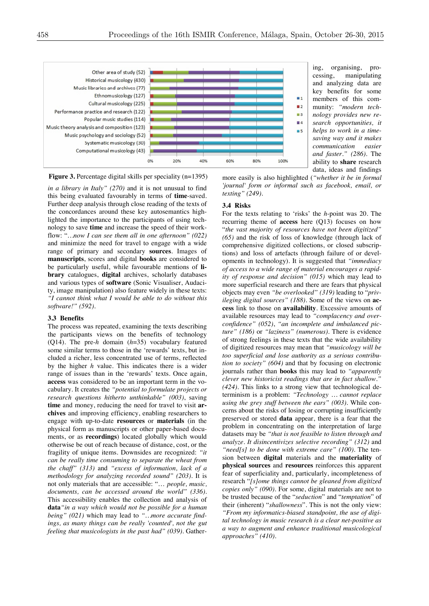

ing, organising, processing, manipulating and analyzing data are key benefits for some members of this community: *"modern technology provides new research opportunities, it helps to work in a timesaving way and it makes communication easier and faster." (286)*. The ability to **share** research data, ideas and findings



*in a library in Italy" (270)* and it is not unusual to find this being evaluated favourably in terms of **time**-saved. Further deep analysis through close reading of the texts of the concordances around these key autosemantics highlighted the importance to the participants of using technology to save **time** and increase the speed of their workflow: "*…now I can see them all in one afternoon" (022)* and minimize the need for travel to engage with a wide range of primary and secondary **sources**. Images of **manuscripts**, scores and digital **books** are considered to be particularly useful, while favourable mentions of **library** catalogues, **digital** archives, scholarly databases and various types of **software** (Sonic Visualiser, Audacity, image manipulation) also feature widely in these texts: *"I cannot think what I would be able to do without this software!" (592)*.

### **3.3 Benefits**

The process was repeated, examining the texts describing the participants views on the benefits of technology (Q14). The pre-*h* domain (*h*=35) vocabulary featured some similar terms to those in the 'rewards' texts, but included a richer, less concentrated use of terms, reflected by the higher *h* value. This indicates there is a wider range of issues than in the 'rewards' texts. Once again, **access** was considered to be an important term in the vocabulary. It creates the *"potential to formulate projects or research questions hitherto unthinkable" (003)*, saving **time** and money, reducing the need for travel to visit **archives** and improving efficiency, enabling researchers to engage with up-to-date **resources** or **materials** (in the physical form as manuscripts or other paper-based documents, or as **recordings**) located globally which would otherwise be out of reach because of distance, cost, or the fragility of unique items. Downsides are recognized: *"it can be really time consuming to separate the wheat from the chaff" (313)* and *"excess of information, lack of a methodology for analyzing recorded sound" (203)*. It is not only materials that are accessible: "… *people, music, documents, can be accessed around the world" (336)*. This accessibility enables the collection and analysis of **data***"in a way which would not be possible for a human being" (021)* which may lead to *"…more accurate findings, as many things can be really 'counted', not the gut feeling that musicologists in the past had" (039)*. Gathermore easily is also highlighted (*"whether it be in formal 'journal' form or informal such as facebook, email, or texting" (249)*.

### **3.4 Risks**

For the texts relating to 'risks' the *h*-point was 20. The recurring theme of **access** here (Q13) focuses on how "*the vast majority of resources have not been digitized" (65)* and the risk of loss of knowledge (through lack of comprehensive digitized collections, or closed subscriptions) and loss of artefacts (through failure of or developments in technology). It is suggested that *"immediacy of access to a wide range of material encourages a rapidity of response and decision" (015)* which may lead to more superficial research and there are fears that physical objects may even *"be overlooked" (319)* leading to "*privileging digital sources" (188)*. Some of the views on **access** link to those on **availability**. Excessive amounts of available resources may lead to *"complacency and overconfidence" (052)*, *"an incomplete and imbalanced picture" (186)* or *"laziness" (numerous)*. There is evidence of strong feelings in these texts that the wide availability of digitized resources may mean that *"musicology will be too superficial and lose authority as a serious contribution to society" (604)* and that by focusing on electronic journals rather than **books** this may lead to *"apparently clever new historicist readings that are in fact shallow." (424).* This links to a strong view that technological determinism is a problem: *"Technology … cannot replace using the grey stuff between the ears" (003)*. While concerns about the risks of losing or corrupting insufficiently preserved or stored **data** appear, there is a fear that the problem in concentrating on the interpretation of large datasets may be *"that is not feasible to listen through and analyze. It disincentivizes selective recording" (312)* and *"need[s] to be done with extreme care" (100).* The tension between **digital** materials and the **materiality** of **physical sources** and **resources** reinforces this apparent fear of superficiality and, particularly, incompleteness of research "*[s]ome things cannot be gleaned from digitized copies only" (090).* For some, digital materials are not to be trusted because of the "*seduction*" and "*temptation*" of their (inherent) "*shallowness*"*.* This is not the only view: *"From my informatics-biased standpoint, the use of digital technology in music research is a clear net-positive as a way to augment and enhance traditional musicological approaches" (410)*.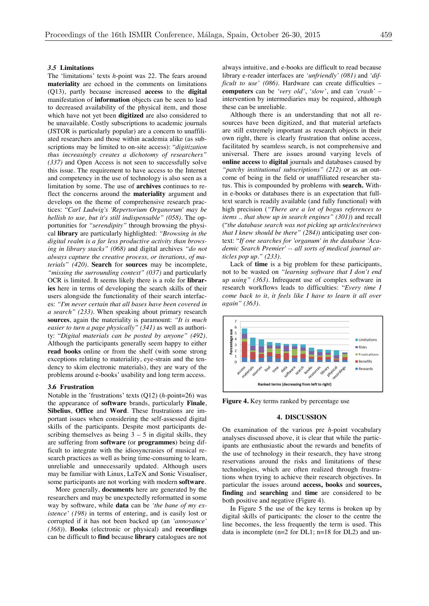#### *3.5* **Limitations**

The 'limitations' texts *h*-point was 22. The fears around **materiality** are echoed in the comments on limitations (Q13), partly because increased **access** to the **digital** manifestation of **information** objects can be seen to lead to decreased availability of the physical item, and those which have not yet been **digitized** are also considered to be unavailable. Costly subscriptions to academic journals (JSTOR is particularly popular) are a concern to unaffiliated researchers and those within academia alike (as subscriptions may be limited to on-site access): "*digitization thus increasingly creates a dichotomy of researchers" (337)* and Open Access is not seen to successfully solve this issue. The requirement to have access to the Internet and competency in the use of technology is also seen as a limitation by some. The use of **archives** continues to reflect the concerns around the **materiality** argument and develops on the theme of comprehensive research practices: "*Carl Ludwig's 'Repertorium Organorum' may be hellish to use, but it's still indispensable" (058).* The opportunities for *"serendipity"* through browsing the physical **library** are particularly highlighted: *"Browsing in the digital realm is a far less productive activity than browsing in library stacks" (068)* and digital archives *"do not always capture the creative process, or iterations, of materials" (420).* **Search** for **sources** may be incomplete, *"missing the surrounding context" (037)* and particularly OCR is limited. It seems likely there is a role for **libraries** here in terms of developing the search skills of their users alongside the functionality of their search interfaces: *"I'm never certain that all bases have been covered in a search" (233)*. When speaking about primary research **sources**, again the materiality is paramount: *"It is much easier to turn a page physically" (341)* as well as authority: "*Digital materials can be posted by anyone" (492).* Although the participants generally seem happy to either **read books** online or from the shelf (with some strong exceptions relating to materiality, eye-strain and the tendency to skim electronic materials), they are wary of the problems around e-books' usability and long term access.

#### **3.6 Frustration**

Notable in the 'frustrations' texts (Q12) (*h*-point=26) was the appearance of **software** brands, particularly **Finale**, **Sibelius**, **Office** and **Word**. These frustrations are important issues when considering the self-assessed digital skills of the participants. Despite most participants describing themselves as being  $3 - 5$  in digital skills, they are suffering from **software** (or **programmes**) being difficult to integrate with the idiosyncrasies of musical research practices as well as being time-consuming to learn, unreliable and unnecessarily updated. Although users may be familiar with Linux, LaTeX and Sonic Visualiser, some participants are not working with modern **software**.

More generally, **documents** here are generated by the researchers and may be unexpectedly reformatted in some way by software, while **data** can be *'the bane of my existence' (198)* in terms of entering, and is easily lost or corrupted if it has not been backed up (an *'annoyance' (368)*). **Books** (electronic or physical) and **recordings**  can be difficult to **find** because **library** catalogues are not always intuitive, and e-books are difficult to read because library e-reader interfaces are *'unfriendly' (081)* and *'difficult to use' (086)*. Hardware can create difficulties – **computers** can be *'very old'*, *'slow'*, and can *'crash'* – intervention by intermediaries may be required, although these can be unreliable.

Although there is an understanding that not all resources have been digitized, and that material artefacts are still extremely important as research objects in their own right, there is clearly frustration that online access, facilitated by seamless search, is not comprehensive and universal. There are issues around varying levels of **online access** to **digital** journals and databases caused by *"patchy institutional subscriptions" (212)* or as an outcome of being in the field or unaffiliated researcher status. This is compounded by problems with **search.** Within e-books or databases there is an expectation that fulltext search is readily available (and fully functional) with high precision (*"There are a lot of bogus references to items .. that show up in search engines" (301)*) and recall ("*the database search was not picking up articles/reviews that I knew should be there" (284)*) anticipating user context: "*If one searches for 'organum' in the database 'Academic Search Premier' -- all sorts of medical journal articles pop up." (233)*.

Lack of **time** is a big problem for these participants, not to be wasted on *"learning software that I don't end up using" (363).* Infrequent use of complex software in research workflows leads to difficulties: "*Every time I come back to it, it feels like I have to learn it all over again" (363).* 



**Figure 4.** Key terms ranked by percentage use

#### **4. DISCUSSION**

On examination of the various pre *h*-point vocabulary analyses discussed above, it is clear that while the participants are enthusiastic about the rewards and benefits of the use of technology in their research, they have strong reservations around the risks and limitations of these technologies, which are often realized through frustrations when trying to achieve their research objectives. In particular the issues around **access, books** and **sources, finding** and **searching** and **time** are considered to be both positive and negative (Figure 4).

In Figure 5 the use of the key terms is broken up by digital skills of participants: the closer to the centre the line becomes, the less frequently the term is used. This data is incomplete (n=2 for DL1; n=18 for DL2) and un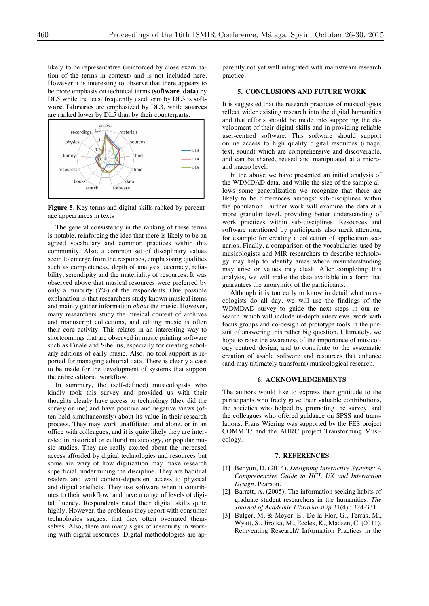likely to be representative (reinforced by close examination of the terms in context) and is not included here. However it is interesting to observe that there appears to be more emphasis on technical terms (**software**, **data**) by DL5 while the least frequently used term by DL3 is **software**. **Libraries** are emphasized by DL3, while **sources** are ranked lower by DL5 than by their counterparts.



**Figure 5.** Key terms and digital skills ranked by percentage appearances in texts

The general consistency in the ranking of these terms is notable, reinforcing the idea that there is likely to be an agreed vocabulary and common practices within this community. Also, a common set of disciplinary values seem to emerge from the responses, emphasising qualities such as completeness, depth of analysis, accuracy, reliability, serendipity and the materiality of resources. It was observed above that musical resources were preferred by only a minority (7%) of the respondents. One possible explanation is that researchers study known musical items and mainly gather information *about* the music. However, many researchers study the musical content of archives and manuscript collections, and editing music is often their core activity. This relates in an interesting way to shortcomings that are observed in music printing software such as Finale and Sibelius, especially for creating scholarly editions of early music. Also, no tool support is reported for managing editorial data. There is clearly a case to be made for the development of systems that support the entire editorial workflow.

In summary, the (self-defined) musicologists who kindly took this survey and provided us with their thoughts clearly have access to technology (they did the survey online) and have positive and negative views (often held simultaneously) about its value in their research process. They may work unaffiliated and alone, or in an office with colleagues, and it is quite likely they are interested in historical or cultural musicology, or popular music studies. They are really excited about the increased access afforded by digital technologies and resources but some are wary of how digitization may make research superficial, undermining the discipline. They are habitual readers and want context-dependent access to physical and digital artefacts. They use software when it contributes to their workflow, and have a range of levels of digital fluency. Respondents rated their digital skills quite highly. However, the problems they report with consumer technologies suggest that they often overrated themselves. Also, there are many signs of insecurity in working with digital resources. Digital methodologies are apparently not yet well integrated with mainstream research practice.

# **5. CONCLUSIONS AND FUTURE WORK**

It is suggested that the research practices of musicologists reflect wider existing research into the digital humanities and that efforts should be made into supporting the development of their digital skills and in providing reliable user-centred software. This software should support online access to high quality digital resources (image, text, sound) which are comprehensive and discoverable, and can be shared, reused and manipulated at a microand macro level.

In the above we have presented an initial analysis of the WDMDAD data, and while the size of the sample allows some generalization we recognize that there are likely to be differences amongst sub-disciplines within the population. Further work will examine the data at a more granular level, providing better understanding of work practices within sub-disciplines. Resources and software mentioned by participants also merit attention, for example for creating a collection of application scenarios. Finally, a comparison of the vocabularies used by musicologists and MIR researchers to describe technology may help to identify areas where misunderstanding may arise or values may clash. After completing this analysis, we will make the data available in a form that guarantees the anonymity of the participants.

Although it is too early to know in detail what musicologists do all day, we will use the findings of the WDMDAD survey to guide the next steps in our research, which will include in-depth interviews, work with focus groups and co-design of prototype tools in the pursuit of answering this rather big question. Ultimately, we hope to raise the awareness of the importance of musicology centred design, and to contribute to the systematic creation of usable software and resources that enhance (and may ultimately transform) musicological research.

### **6. ACKNOWLEDGEMENTS**

The authors would like to express their gratitude to the participants who freely gave their valuable contributions, the societies who helped by promoting the survey, and the colleagues who offered guidance on SPSS and translations. Frans Wiering was supported by the FES project COMMIT/ and the AHRC project Transforming Musicology.

### **7. REFERENCES**

- [1] Benyon, D. (2014). *Designing Interactive Systems: A Comprehensive Guide to HCI, UX and Interaction Design.* Pearson.
- [2] Barrett, A. (2005). The information seeking habits of graduate student researchers in the humanities. *The Journal of Academic Librarianship* 31(4) : 324-331.
- [3] Bulger, M. & Meyer, E., De la Flor, G., Terras, M., Wyatt, S., Jirotka, M., Eccles, K., Madsen, C. (2011). Reinventing Research? Information Practices in the